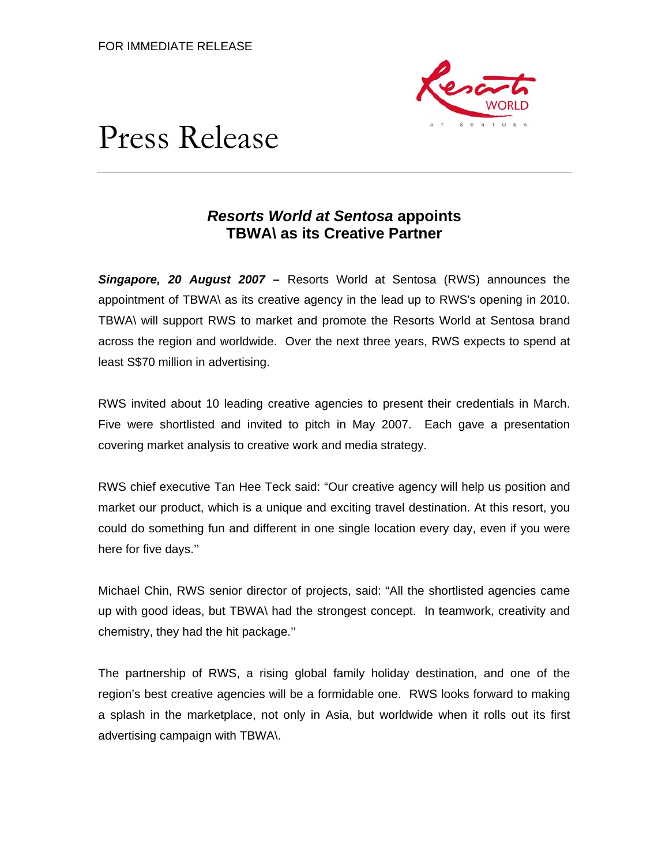

# Press Release

## *Resorts World at Sentosa* **appoints TBWA\ as its Creative Partner**

*Singapore, 20 August 2007* **–** Resorts World at Sentosa (RWS) announces the appointment of TBWA\ as its creative agency in the lead up to RWS's opening in 2010. TBWA\ will support RWS to market and promote the Resorts World at Sentosa brand across the region and worldwide. Over the next three years, RWS expects to spend at least S\$70 million in advertising.

RWS invited about 10 leading creative agencies to present their credentials in March. Five were shortlisted and invited to pitch in May 2007. Each gave a presentation covering market analysis to creative work and media strategy.

RWS chief executive Tan Hee Teck said: "Our creative agency will help us position and market our product, which is a unique and exciting travel destination. At this resort, you could do something fun and different in one single location every day, even if you were here for five days.''

Michael Chin, RWS senior director of projects, said: "All the shortlisted agencies came up with good ideas, but TBWA\ had the strongest concept. In teamwork, creativity and chemistry, they had the hit package.''

The partnership of RWS, a rising global family holiday destination, and one of the region's best creative agencies will be a formidable one. RWS looks forward to making a splash in the marketplace, not only in Asia, but worldwide when it rolls out its first advertising campaign with TBWA\.